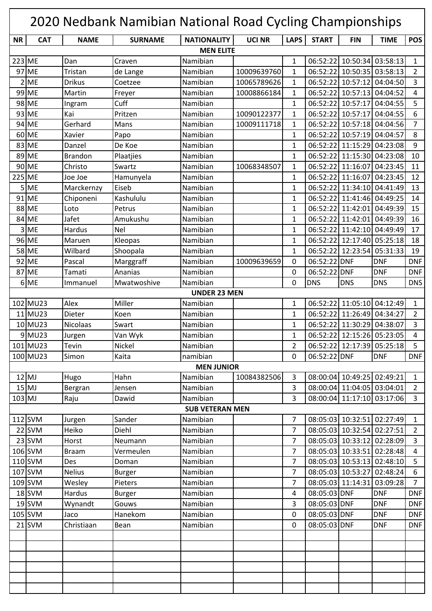|                  | 2020 Nedbank Namibian National Road Cycling Championships |                 |                |                        |               |                |              |                            |                            |                |
|------------------|-----------------------------------------------------------|-----------------|----------------|------------------------|---------------|----------------|--------------|----------------------------|----------------------------|----------------|
| <b>NR</b>        | <b>CAT</b>                                                | <b>NAME</b>     | <b>SURNAME</b> | <b>NATIONALITY</b>     | <b>UCI NR</b> | <b>LAPS</b>    | <b>START</b> | <b>FIN</b>                 | <b>TIME</b>                | <b>POS</b>     |
| <b>MEN ELITE</b> |                                                           |                 |                |                        |               |                |              |                            |                            |                |
| 223 ME           |                                                           | Dan             | Craven         | Namibian               |               | $\mathbf{1}$   | 06:52:22     | 10:50:34                   | 03:58:13                   | $\mathbf{1}$   |
|                  | 97 ME                                                     | Tristan         | de Lange       | Namibian               | 10009639760   | $\mathbf{1}$   | 06:52:22     | 10:50:35                   | 03:58:13                   | $\overline{2}$ |
|                  | $2$ ME                                                    | <b>Drikus</b>   | Coetzee        | Namibian               | 10065789626   | 1              | 06:52:22     | 10:57:12                   | 04:04:50                   | 3              |
|                  | 99 ME                                                     | Martin          | Freyer         | Namibian               | 10008866184   | $\mathbf{1}$   | 06:52:22     | 10:57:13                   | 04:04:52                   | 4              |
|                  | 98 ME                                                     | Ingram          | Cuff           | Namibian               |               | $\mathbf{1}$   | 06:52:22     | 10:57:17                   | 04:04:55                   | 5              |
|                  | 93 ME                                                     | Kai             | Pritzen        | Namibian               | 10090122377   | $\mathbf{1}$   |              | 06:52:22 10:57:17          | 04:04:55                   | 6              |
|                  | 94 ME                                                     | Gerhard         | Mans           | Namibian               | 10009111718   | $\mathbf{1}$   | 06:52:22     | 10:57:18                   | 04:04:56                   | $\overline{7}$ |
|                  | 60 ME                                                     | Xavier          | Papo           | Namibian               |               | $\mathbf{1}$   | 06:52:22     | 10:57:19                   | 04:04:57                   | 8              |
|                  | 83 ME                                                     | Danzel          | De Koe         | Namibian               |               | $\mathbf{1}$   | 06:52:22     | 11:15:29                   | 04:23:08                   | 9              |
|                  | 89 ME                                                     | <b>Brandon</b>  | Plaatjies      | Namibian               |               | $\mathbf{1}$   | 06:52:22     | 11:15:30                   | 04:23:08                   | 10             |
|                  | 90 ME                                                     | Christo         | Swartz         | Namibian               | 10068348507   | $\mathbf{1}$   |              | 06:52:22 11:16:07          | 04:23:45                   | 11             |
| 225 ME           |                                                           | Joe Joe         | Hamunyela      | Namibian               |               | $\mathbf{1}$   |              | 06:52:22 11:16:07          | 04:23:45                   | 12             |
|                  | $5$ ME                                                    | Marckernzy      | Eiseb          | Namibian               |               | $\mathbf{1}$   |              | 06:52:22 11:34:10          | 04:41:49                   | 13             |
|                  | 91 ME                                                     | Chiponeni       | Kashululu      | Namibian               |               | $\mathbf{1}$   | 06:52:22     | 11:41:46                   | 04:49:25                   | 14             |
|                  | 88 ME                                                     | Loto            | Petrus         | Namibian               |               | $\mathbf{1}$   | 06:52:22     | 11:42:01                   | 04:49:39                   | 15             |
|                  | 84 ME                                                     | Jafet           | Amukushu       | Namibian               |               | $\mathbf{1}$   | 06:52:22     | 11:42:01                   | 04:49:39                   | 16             |
|                  | 3 ME                                                      | Hardus          | <b>Nel</b>     | Namibian               |               | $\mathbf{1}$   | 06:52:22     | 11:42:10                   | 04:49:49                   | 17             |
|                  | 96 ME                                                     | Maruen          | Kleopas        | Namibian               |               | $\mathbf{1}$   | 06:52:22     | 12:17:40                   | 05:25:18                   | 18             |
|                  | 58 ME                                                     | Wilbard         | Shoopala       | Namibian               |               | $\mathbf{1}$   | 06:52:22     | 12:23:54                   | 05:31:33                   | 19             |
|                  | 92 ME                                                     | Pascal          | Marggraff      | Namibian               | 10009639659   | 0              | 06:52:22 DNF |                            | <b>DNF</b>                 | <b>DNF</b>     |
|                  | 87 ME                                                     | Tamati          | Ananias        | Namibian               |               | 0              | 06:52:22 DNF |                            | <b>DNF</b>                 | <b>DNF</b>     |
|                  | 6 ME                                                      | Immanuel        | Mwatwoshive    | Namibian               |               | 0              | <b>DNS</b>   | <b>DNS</b>                 | <b>DNS</b>                 | <b>DNS</b>     |
|                  |                                                           |                 |                | <b>UNDER 23 MEN</b>    |               |                |              |                            |                            |                |
|                  | 102 MU23                                                  | Alex            | Miller         | Namibian               |               | $\mathbf{1}$   | 06:52:22     | 11:05:10                   | 04:12:49                   | $\mathbf{1}$   |
|                  | 11 MU23                                                   | Dieter          | Koen           | Namibian               |               | $\mathbf{1}$   | 06:52:22     | 11:26:49                   | 04:34:27                   | $\overline{2}$ |
|                  | 10 MU23                                                   | <b>Nicolaas</b> | Swart          | Namibian               |               | $\mathbf{1}$   |              | 06:52:22 11:30:29          | 04:38:07                   | 3              |
|                  | $9$ MU23                                                  | Jurgen          | Van Wyk        | Namibian               |               | 1              |              |                            | 06:52:22 12:15:26 05:23:05 | 4              |
|                  | 101 MU23                                                  | Tevin           | Nickel         | Namibian               |               | $\overline{2}$ |              | 06:52:22 12:17:39 05:25:18 |                            | 5              |
|                  | 100 MU23                                                  | Simon           | Kaita          | namibian               |               | 0              | 06:52:22 DNF |                            | <b>DNF</b>                 | <b>DNF</b>     |
|                  |                                                           |                 |                | <b>MEN JUNIOR</b>      |               |                |              |                            |                            |                |
|                  | $12$ MJ                                                   | Hugo            | Hahn           | Namibian               | 10084382506   | 3              |              | 08:00:04 10:49:25 02:49:21 |                            | $\mathbf{1}$   |
|                  | $15$ MJ                                                   | Bergran         | Jensen         | Namibian               |               | 3              |              | 08:00:04 11:04:05 03:04:01 |                            | $\overline{2}$ |
| $103$ MJ         |                                                           | Raju            | Dawid          | Namibian               |               | 3              |              |                            | 08:00:04 11:17:10 03:17:06 | $\overline{3}$ |
|                  |                                                           |                 |                | <b>SUB VETERAN MEN</b> |               |                |              |                            |                            |                |
|                  | $112$ SVM                                                 | Jurgen          | Sander         | Namibian               |               | $\overline{7}$ |              |                            | 08:05:03 10:32:51 02:27:49 | $\mathbf{1}$   |
|                  | $22$ SVM                                                  | Heiko           | Diehl          | Namibian               |               | $\overline{7}$ |              | 08:05:03 10:32:54 02:27:51 |                            | $\overline{2}$ |
|                  | $23$ SVM                                                  | Horst           | Neumann        | Namibian               |               | $\overline{7}$ |              |                            | 08:05:03 10:33:12 02:28:09 | $\overline{3}$ |
|                  | $106$ SVM                                                 | <b>Braam</b>    | Vermeulen      | Namibian               |               | 7              |              |                            | 08:05:03 10:33:51 02:28:48 | 4              |
|                  | $110$ SVM                                                 | Des             | Doman          | Namibian               |               | $\overline{7}$ |              |                            | 08:05:03 10:53:13 02:48:10 | 5              |
|                  | $107$ SVM                                                 | <b>Nelius</b>   | <b>Burger</b>  | Namibian               |               | $\overline{7}$ |              | 08:05:03 10:53:27          | 02:48:24                   | 6              |
|                  | $109$ SVM                                                 | Wesley          | Pieters        | Namibian               |               | $\overline{7}$ |              | 08:05:03 11:14:31          | 03:09:28                   | $\overline{7}$ |
|                  | $18$ SVM                                                  | Hardus          | <b>Burger</b>  | Namibian               |               | $\overline{4}$ | 08:05:03 DNF |                            | <b>DNF</b>                 | <b>DNF</b>     |
|                  | $19$ SVM                                                  | Wynandt         | Gouws          | Namibian               |               | 3              | 08:05:03 DNF |                            | <b>DNF</b>                 | <b>DNF</b>     |
|                  | $105$ SVM                                                 | Jaco            | Hanekom        | Namibian               |               | 0              | 08:05:03 DNF |                            | <b>DNF</b>                 | <b>DNF</b>     |
|                  | $21$ SVM                                                  | Christiaan      | Bean           | Namibian               |               | 0              | 08:05:03 DNF |                            | <b>DNF</b>                 | <b>DNF</b>     |
|                  |                                                           |                 |                |                        |               |                |              |                            |                            |                |
|                  |                                                           |                 |                |                        |               |                |              |                            |                            |                |
|                  |                                                           |                 |                |                        |               |                |              |                            |                            |                |
|                  |                                                           |                 |                |                        |               |                |              |                            |                            |                |
|                  |                                                           |                 |                |                        |               |                |              |                            |                            |                |
|                  |                                                           |                 |                |                        |               |                |              |                            |                            |                |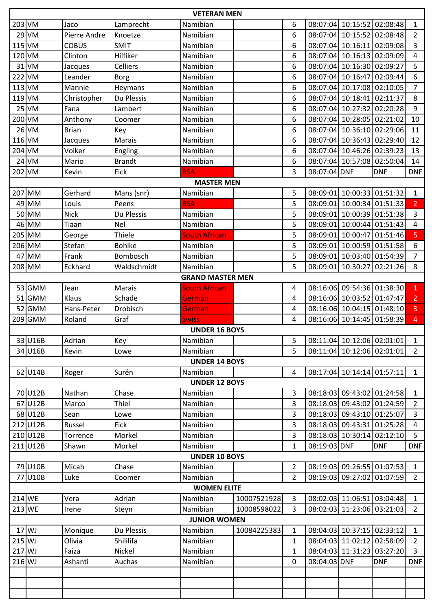|                                                                                                                | <b>VETERAN MEN</b> |                   |                 |                         |             |                |              |                            |                            |                |
|----------------------------------------------------------------------------------------------------------------|--------------------|-------------------|-----------------|-------------------------|-------------|----------------|--------------|----------------------------|----------------------------|----------------|
| $203$ VM                                                                                                       |                    | Jaco              | Lamprecht       | Namibian                |             | 6              |              |                            | 08:07:04 10:15:52 02:08:48 | $\mathbf{1}$   |
|                                                                                                                | $29$ VM            | Pierre Andre      | Knoetze         | Namibian                |             | 6              |              |                            | 08:07:04 10:15:52 02:08:48 | $\overline{2}$ |
| 115 VM                                                                                                         |                    | <b>COBUS</b>      | <b>SMIT</b>     | Namibian                |             | 6              |              |                            | 08:07:04 10:16:11 02:09:08 | $\overline{3}$ |
| 120 VM                                                                                                         |                    | Clinton           | Hilfiker        | Namibian                |             | 6              |              |                            | 08:07:04 10:16:13 02:09:09 | $\overline{4}$ |
|                                                                                                                | $31$ VM            | Jacques           | Celliers        | Namibian                |             | 6              |              | 08:07:04 10:16:30 02:09:27 |                            | 5              |
| $222$ VM                                                                                                       |                    | Leander           | <b>Borg</b>     | Namibian                |             | 6              |              |                            | 08:07:04 10:16:47 02:09:44 | 6              |
| $113$ VM                                                                                                       |                    | Mannie            | Heymans         | Namibian                |             | 6              |              | 08:07:04 10:17:08          | 02:10:05                   | $\overline{7}$ |
| $119$ VM                                                                                                       |                    | Christopher       | Du Plessis      | Namibian                |             | 6              |              | 08:07:04 10:18:41          | 02:11:37                   | 8              |
|                                                                                                                | $25$ VM            | Fana              | Lambert         | Namibian                |             | 6              |              |                            | 08:07:04 10:27:32 02:20:28 | 9              |
| 200 VM                                                                                                         |                    | Anthony           | Coomer          | Namibian                |             | 6              |              | 08:07:04 10:28:05 02:21:02 |                            | 10             |
|                                                                                                                | $26$ VM            | <b>Brian</b>      | Key             | Namibian                |             | 6              |              |                            | 08:07:04 10:36:10 02:29:06 | 11             |
| $116$ VM                                                                                                       |                    | Jacques           | <b>Marais</b>   | Namibian                |             | 6              |              | 08:07:04 10:36:43 02:29:40 |                            | 12             |
| 204 VM                                                                                                         |                    | Volker            | Engling         | Namibian                |             | 6              |              |                            | 08:07:04 10:46:26 02:39:23 | 13             |
|                                                                                                                | $24$ VM            | Mario             | <b>Brandt</b>   | Namibian                |             | 6              |              |                            | 08:07:04 10:57:08 02:50:04 | 14             |
| 202 VM                                                                                                         |                    | Kevin             | Fick            | <b>RSA</b>              |             | 3              | 08:07:04 DNF |                            | <b>DNF</b>                 | <b>DNF</b>     |
|                                                                                                                |                    |                   |                 | <b>MASTER MEN</b>       |             |                |              |                            |                            |                |
|                                                                                                                | 207 MM             | Gerhard           | Mans (snr)      | Namibian                |             | 5              |              |                            | 08:09:01 10:00:33 01:51:32 | $\mathbf{1}$   |
|                                                                                                                | 49 MM              | Louis             | Peens           | <b>RSA</b>              |             | 5              |              |                            | 08:09:01 10:00:34 01:51:33 | $\overline{2}$ |
|                                                                                                                | 50 MM              | <b>Nick</b>       | Du Plessis      | Namibian                |             | 5              |              |                            | 08:09:01 10:00:39 01:51:38 | $\overline{3}$ |
|                                                                                                                | 46 MM              | Tiaan             | Nel             | Namibian                |             | 5              | 08:09:01     |                            | 10:00:44 01:51:43          | $\overline{4}$ |
|                                                                                                                | 205 MM             | George            | Thiele          | <b>South African</b>    |             | 5              | 08:09:01     |                            | 10:00:47 01:51:46          | 5              |
|                                                                                                                | 206 MM             | Stefan            | <b>Bohlke</b>   | Namibian                |             | 5              | 08:09:01     |                            | 10:00:59 01:51:58          | 6              |
|                                                                                                                | 47 MM              | Frank             | Bombosch        | Namibian                |             | 5              |              |                            | 08:09:01 10:03:40 01:54:39 | $\overline{7}$ |
|                                                                                                                | 208 MM             | Eckhard           | Waldschmidt     | Namibian                |             | 5              |              | 08:09:01 10:30:27          | 02:21:26                   | 8              |
|                                                                                                                |                    |                   |                 | <b>GRAND MASTER MEN</b> |             |                |              |                            |                            |                |
|                                                                                                                | 53 GMM             | Jean              | <b>Marais</b>   | <b>South African</b>    |             | 4              |              |                            | 08:16:06 09:54:36 01:38:30 | $\mathbf{1}$   |
|                                                                                                                | 51 GMM             | Klaus             | Schade          | German                  |             | 4              |              | 08:16:06 10:03:52          | 01:47:47                   | 2 <sup>1</sup> |
|                                                                                                                | 52 GMM             | Hans-Peter        | <b>Drobisch</b> | German                  |             | 4              |              |                            | 08:16:06 10:04:15 01:48:10 | $\overline{3}$ |
|                                                                                                                | 209 GMM            | Roland            | Graf            | <b>Swiss</b>            |             | 4              |              |                            | 08:16:06 10:14:45 01:58:39 | $\overline{4}$ |
|                                                                                                                |                    |                   |                 | <b>UNDER 16 BOYS</b>    |             |                |              |                            |                            |                |
|                                                                                                                | 33 U16B            | Adrian            | Key             | Namibian                |             | 5              |              |                            | 08:11:04 10:12:06 02:01:01 | 1              |
|                                                                                                                | 34 U16B            | Kevin             | Lowe            | Namibian                |             | 5              |              |                            | 08:11:04 10:12:06 02:01:01 | $2^{\circ}$    |
|                                                                                                                |                    |                   |                 | <b>UNDER 14 BOYS</b>    |             |                |              |                            |                            |                |
|                                                                                                                | 62 U14B            | Roger             | Surén           | Namibian                |             | 4              |              |                            | 08:17:04 10:14:14 01:57:11 | $\mathbf{1}$   |
|                                                                                                                |                    |                   |                 | <b>UNDER 12 BOYS</b>    |             |                |              |                            |                            |                |
|                                                                                                                | 70 U12B            | Nathan            | Chase           | Namibian                |             | 3              |              |                            | 08:18:03 09:43:02 01:24:58 | 1              |
|                                                                                                                | 67 U12B            | Marco             | Thiel           | Namibian                |             | 3              |              |                            | 08:18:03 09:43:02 01:24:59 | $\overline{2}$ |
|                                                                                                                | 68 U12B            | Sean              | Lowe            | Namibian                |             | 3              |              |                            | 08:18:03 09:43:10 01:25:07 | $\overline{3}$ |
|                                                                                                                | 212 U12B           | Russel            | Fick            | Namibian                |             | 3              |              |                            | 08:18:03 09:43:31 01:25:28 | $\overline{4}$ |
|                                                                                                                | 210 U12B           | Torrence          | Morkel          | Namibian                |             | 3              |              |                            | 08:18:03 10:30:14 02:12:10 | 5              |
|                                                                                                                | 211 U12B           | Shawn             | Morkel          | Namibian                |             | $\mathbf{1}$   | 08:19:03 DNF |                            | <b>DNF</b>                 | <b>DNF</b>     |
|                                                                                                                |                    |                   |                 | <b>UNDER 10 BOYS</b>    |             |                |              |                            |                            |                |
|                                                                                                                | 79 U10B            | Micah             | Chase           | Namibian                |             | $\overline{2}$ |              |                            | 08:19:03 09:26:55 01:07:53 | $\mathbf{1}$   |
|                                                                                                                |                    | Luke              | Coomer          | Namibian                |             | $\overline{2}$ |              |                            |                            | $2^{\circ}$    |
| 77 U10B<br>08:19:03 09:27:02 01:07:59<br><b>WOMEN ELITE</b>                                                    |                    |                   |                 |                         |             |                |              |                            |                            |                |
| 214 WE                                                                                                         |                    | Vera              | Adrian          | Namibian                | 10007521928 | 3              |              |                            | 08:02:03 11:06:51 03:04:48 | $\mathbf{1}$   |
| 213 WE                                                                                                         |                    | Irene             | Steyn           | Namibian                | 10008598022 | 3              |              |                            | 08:02:03 11:23:06 03:21:03 | $2^{\circ}$    |
|                                                                                                                |                    |                   |                 | <b>JUNIOR WOMEN</b>     |             |                |              |                            |                            |                |
| $17$ WJ<br>08:04:03 10:37:15 02:33:12<br>10084225383<br>Du Plessis<br>Namibian<br>$\mathbf{1}$<br>$\mathbf{1}$ |                    |                   |                 |                         |             |                |              |                            |                            |                |
| $215$ WJ                                                                                                       |                    | Monique<br>Olivia | Shililifa       | Namibian                |             | $\mathbf{1}$   |              |                            | 08:04:03 11:02:12 02:58:09 | $\overline{2}$ |
| $217$ WJ                                                                                                       |                    | Faiza             | Nickel          | Namibian                |             | $\mathbf{1}$   |              |                            | 08:04:03 11:31:23 03:27:20 | $\overline{3}$ |
| 216 WJ                                                                                                         |                    | Ashanti           | Auchas          | Namibian                |             | 0              | 08:04:03 DNF |                            | <b>DNF</b>                 | <b>DNF</b>     |
|                                                                                                                |                    |                   |                 |                         |             |                |              |                            |                            |                |
|                                                                                                                |                    |                   |                 |                         |             |                |              |                            |                            |                |
|                                                                                                                |                    |                   |                 |                         |             |                |              |                            |                            |                |
|                                                                                                                |                    |                   |                 |                         |             |                |              |                            |                            |                |